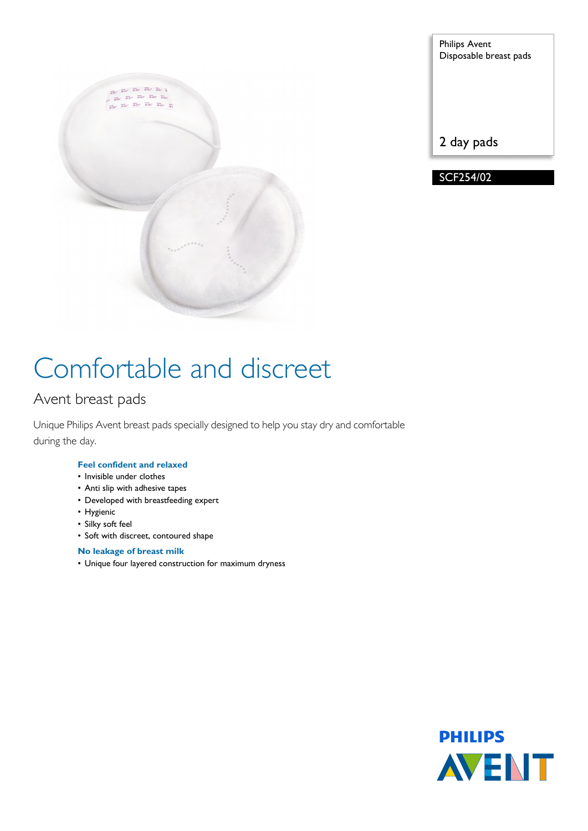

| <b>Philips Avent</b><br>Disposable breast pads |
|------------------------------------------------|
|                                                |
|                                                |

2 day pads

SCF254/02

# Comfortable and discreet

### Avent breast pads

Unique Philips Avent breast pads specially designed to help you stay dry and comfortable during the day.

#### **Feel confident and relaxed**

- Invisible under clothes
- Anti slip with adhesive tapes
- Developed with breastfeeding expert
- Hygienic
- Silky soft feel
- Soft with discreet, contoured shape

#### **No leakage of breast milk**

• Unique four layered construction for maximum dryness